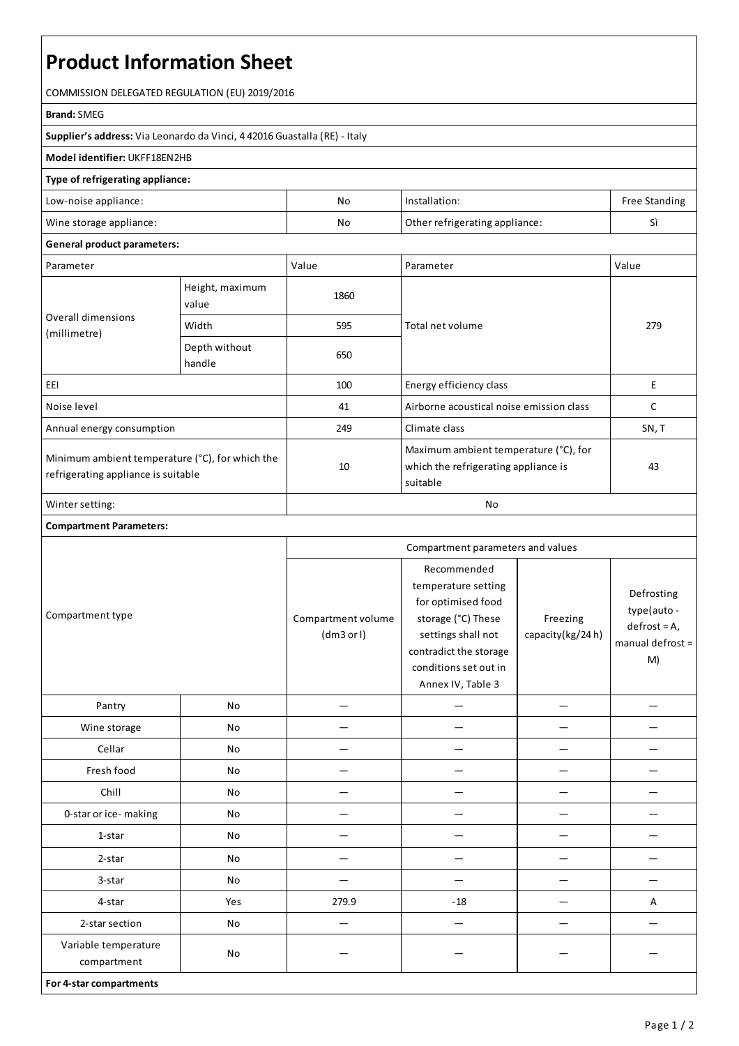# **Product Information Sheet**

COMMISSION DELEGATED REGULATION (EU) 2019/2016

#### **Brand:**SMEG

**Supplier's address:** ViaLeonardo da Vinci, 4 42016 Guastalla(RE) - Italy

# **Model identifier:** UKFF18EN2HB

## **Type of refrigerating appliance:**

| Low-noise appliance:    | No | Installation:                  | <b>Free Standing</b> |
|-------------------------|----|--------------------------------|----------------------|
| Wine storage appliance: | No | Other refrigerating appliance: | $\sim$               |

### **General product parameters:**

| Parameter                                                                              |                          | Value | Parameter                                                                                 | Value |
|----------------------------------------------------------------------------------------|--------------------------|-------|-------------------------------------------------------------------------------------------|-------|
| Overall dimensions<br>(millimetre)                                                     | Height, maximum<br>value | 1860  |                                                                                           | 279   |
|                                                                                        | Width                    | 595   | Total net volume                                                                          |       |
|                                                                                        | Depth without<br>handle  | 650   |                                                                                           |       |
| EEI                                                                                    |                          | 100   | Energy efficiency class                                                                   | E     |
| Noise level                                                                            |                          | 41    | Airborne acoustical noise emission class                                                  | C     |
| Annual energy consumption                                                              |                          | 249   | Climate class                                                                             | SN, T |
| Minimum ambient temperature (°C), for which the<br>refrigerating appliance is suitable |                          | 10    | Maximum ambient temperature (°C), for<br>which the refrigerating appliance is<br>suitable | 43    |
| Winter setting:                                                                        |                          | No    |                                                                                           |       |

#### **Compartment Parameters:**

| Compartment type                    |     | Compartment parameters and values |                                                                                                                                                                              |                              |                                                                         |
|-------------------------------------|-----|-----------------------------------|------------------------------------------------------------------------------------------------------------------------------------------------------------------------------|------------------------------|-------------------------------------------------------------------------|
|                                     |     | Compartment volume<br>(dm3 or l)  | Recommended<br>temperature setting<br>for optimised food<br>storage (°C) These<br>settings shall not<br>contradict the storage<br>conditions set out in<br>Annex IV, Table 3 | Freezing<br>capacity(kg/24h) | Defrosting<br>type(auto -<br>$defrost = A,$<br>manual defrost $=$<br>M) |
| Pantry                              | No  |                                   |                                                                                                                                                                              |                              |                                                                         |
| Wine storage                        | No  |                                   |                                                                                                                                                                              |                              |                                                                         |
| Cellar                              | No  |                                   |                                                                                                                                                                              |                              |                                                                         |
| Fresh food                          | No  |                                   |                                                                                                                                                                              |                              |                                                                         |
| Chill                               | No  |                                   |                                                                                                                                                                              |                              |                                                                         |
| 0-star or ice-making                | No  |                                   |                                                                                                                                                                              |                              |                                                                         |
| 1-star                              | No  |                                   |                                                                                                                                                                              |                              |                                                                         |
| 2-star                              | No  |                                   |                                                                                                                                                                              |                              |                                                                         |
| 3-star                              | No  |                                   |                                                                                                                                                                              |                              |                                                                         |
| 4-star                              | Yes | 279.9                             | $-18$                                                                                                                                                                        |                              | A                                                                       |
| 2-star section                      | No  |                                   |                                                                                                                                                                              |                              |                                                                         |
| Variable temperature<br>compartment | No  |                                   |                                                                                                                                                                              |                              |                                                                         |
| For 4-star compartments             |     |                                   |                                                                                                                                                                              |                              |                                                                         |